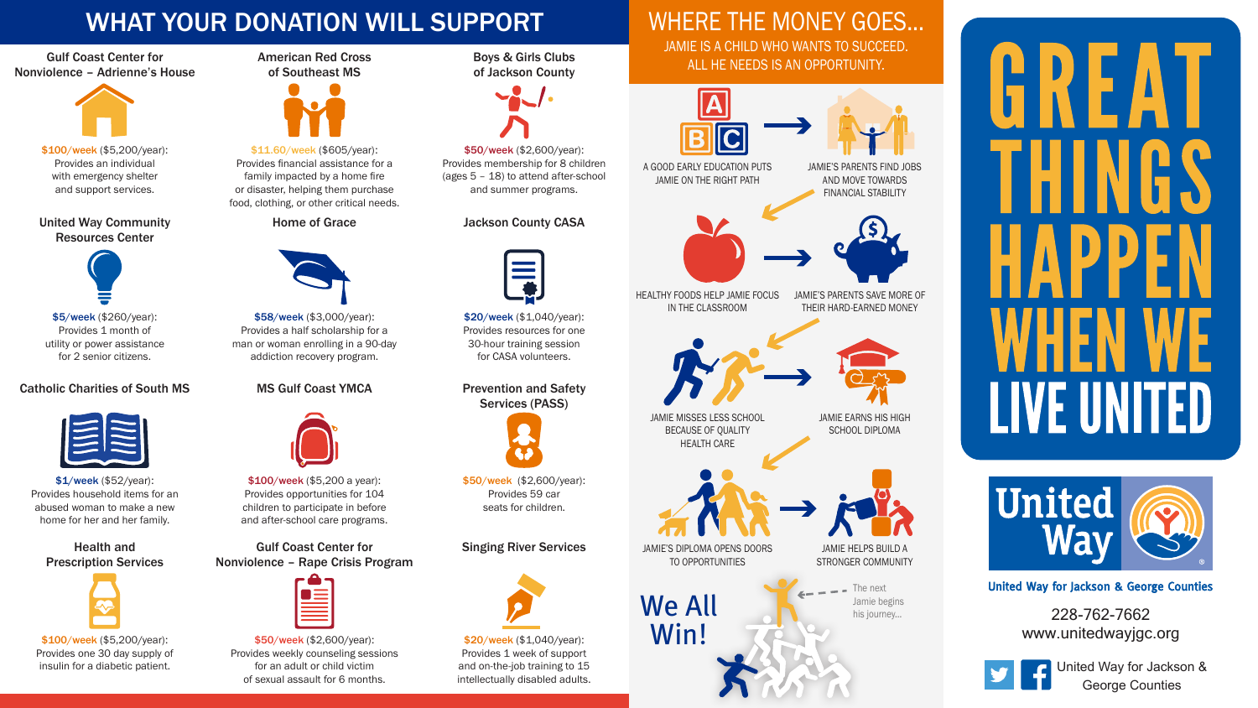228-762-7662 www.unitedwayjgc.org



United Way for Jackson & George Counties

Gulf Coast Center for Nonviolence – Adrienne's House

### United Way Community Resources Center



# Catholic Charities of South MS

### Health and Prescription Services



### American Red Cross of Southeast MS



Boys & Girls Clubs of Jackson County



Services (PASS)



Gulf Coast Center for Nonviolence – Rape Crisis Program



# Singing River Services





\$100/week (\$5,200/year): Provides an individual with emergency shelter and support services.

\$11.60/week (\$605/year): Provides financial assistance for a family impacted by a home fire or disaster, helping them purchase food, clothing, or other critical needs.



\$50/week (\$2,600/year): Provides membership for 8 children (ages 5 – 18) to attend after-school and summer programs.

### Home of Grace **Jackson County CASA**



# WHERE THE MONEY GOES...

JAMIE IS A CHILD WHO WANTS TO SUCCEED. ALL HE NEEDS IS AN OPPORTUNITY.



# **LIVE UNITED**



# United Way for Jackson & George Counties

\$5/week (\$260/year): Provides 1 month of utility or power assistance for 2 senior citizens.

\$58/week (\$3,000/year): Provides a half scholarship for a man or woman enrolling in a 90-day addiction recovery program.

### MS Gulf Coast YMCA Prevention and Safety



\$20/week (\$1,040/year): Provides resources for one 30-hour training session for CASA volunteers.

\$1/week (\$52/year): Provides household items for an abused woman to make a new home for her and her family.

\$100/week (\$5,200 a year): Provides opportunities for 104 children to participate in before and after-school care programs. \$50/week (\$2,600/year): Provides 59 car seats for children.

\$100/week (\$5,200/year): Provides one 30 day supply of insulin for a diabetic patient.

\$50/week (\$2,600/year): Provides weekly counseling sessions for an adult or child victim of sexual assault for 6 months.

\$20/week (\$1,040/year): Provides 1 week of support and on-the-job training to 15 intellectually disabled adults.

# WHAT YOUR DONATION WILL SUPPORT